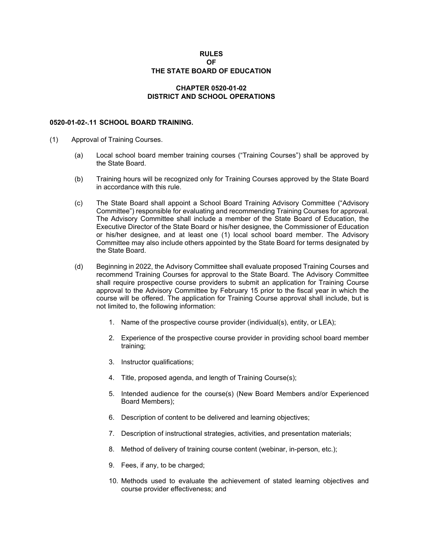## **RULES OF THE STATE BOARD OF EDUCATION**

## **CHAPTER 0520-01-02 DISTRICT AND SCHOOL OPERATIONS**

## **0520-01-02-.11 SCHOOL BOARD TRAINING.**

- (1) Approval of Training Courses.
	- (a) Local school board member training courses ("Training Courses") shall be approved by the State Board.
	- (b) Training hours will be recognized only for Training Courses approved by the State Board in accordance with this rule.
	- (c) The State Board shall appoint a School Board Training Advisory Committee ("Advisory Committee") responsible for evaluating and recommending Training Courses for approval. The Advisory Committee shall include a member of the State Board of Education, the Executive Director of the State Board or his/her designee, the Commissioner of Education or his/her designee, and at least one (1) local school board member. The Advisory Committee may also include others appointed by the State Board for terms designated by the State Board.
	- (d) Beginning in 2022, the Advisory Committee shall evaluate proposed Training Courses and recommend Training Courses for approval to the State Board. The Advisory Committee shall require prospective course providers to submit an application for Training Course approval to the Advisory Committee by February 15 prior to the fiscal year in which the course will be offered. The application for Training Course approval shall include, but is not limited to, the following information:
		- 1. Name of the prospective course provider (individual(s), entity, or LEA);
		- 2. Experience of the prospective course provider in providing school board member training;
		- 3. Instructor qualifications;
		- 4. Title, proposed agenda, and length of Training Course(s);
		- 5. Intended audience for the course(s) (New Board Members and/or Experienced Board Members);
		- 6. Description of content to be delivered and learning objectives;
		- 7. Description of instructional strategies, activities, and presentation materials;
		- 8. Method of delivery of training course content (webinar, in-person, etc.);
		- 9. Fees, if any, to be charged;
		- 10. Methods used to evaluate the achievement of stated learning objectives and course provider effectiveness; and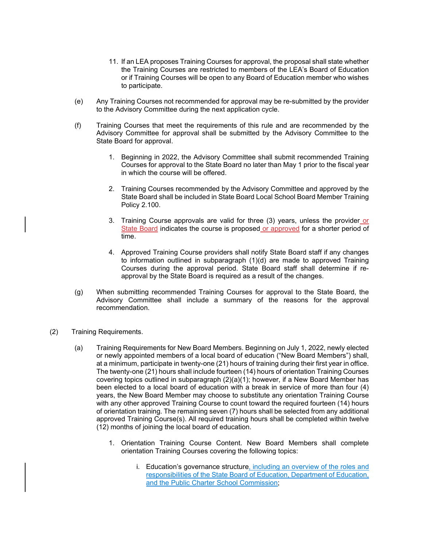- 11. If an LEA proposes Training Courses for approval, the proposal shall state whether the Training Courses are restricted to members of the LEA's Board of Education or if Training Courses will be open to any Board of Education member who wishes to participate.
- (e) Any Training Courses not recommended for approval may be re-submitted by the provider to the Advisory Committee during the next application cycle.
- (f) Training Courses that meet the requirements of this rule and are recommended by the Advisory Committee for approval shall be submitted by the Advisory Committee to the State Board for approval.
	- 1. Beginning in 2022, the Advisory Committee shall submit recommended Training Courses for approval to the State Board no later than May 1 prior to the fiscal year in which the course will be offered.
	- 2. Training Courses recommended by the Advisory Committee and approved by the State Board shall be included in State Board Local School Board Member Training Policy 2.100.
	- 3. Training Course approvals are valid for three (3) years, unless the provider or State Board indicates the course is proposed or approved for a shorter period of time.
	- 4. Approved Training Course providers shall notify State Board staff if any changes to information outlined in subparagraph (1)(d) are made to approved Training Courses during the approval period. State Board staff shall determine if reapproval by the State Board is required as a result of the changes.
- (g) When submitting recommended Training Courses for approval to the State Board, the Advisory Committee shall include a summary of the reasons for the approval recommendation.
- (2) Training Requirements.
	- (a) Training Requirements for New Board Members. Beginning on July 1, 2022, newly elected or newly appointed members of a local board of education ("New Board Members") shall, at a minimum, participate in twenty-one (21) hours of training during their first year in office. The twenty-one (21) hours shall include fourteen (14) hours of orientation Training Courses covering topics outlined in subparagraph (2)(a)(1); however, if a New Board Member has been elected to a local board of education with a break in service of more than four (4) years, the New Board Member may choose to substitute any orientation Training Course with any other approved Training Course to count toward the required fourteen (14) hours of orientation training. The remaining seven (7) hours shall be selected from any additional approved Training Course(s). All required training hours shall be completed within twelve (12) months of joining the local board of education.
		- 1. Orientation Training Course Content. New Board Members shall complete orientation Training Courses covering the following topics:
			- i. Education's governance structure, including an overview of the roles and responsibilities of the State Board of Education, Department of Education, and the Public Charter School Commission;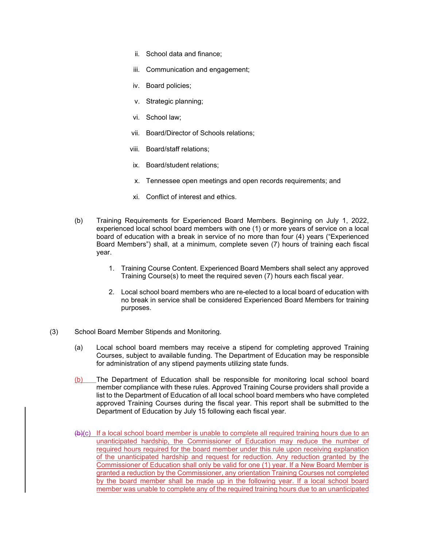- ii. School data and finance;
- iii. Communication and engagement;
- iv. Board policies;
- v. Strategic planning;
- vi. School law;
- vii. Board/Director of Schools relations;
- viii. Board/staff relations;
- ix. Board/student relations;
- x. Tennessee open meetings and open records requirements; and
- xi. Conflict of interest and ethics.
- (b) Training Requirements for Experienced Board Members. Beginning on July 1, 2022, experienced local school board members with one (1) or more years of service on a local board of education with a break in service of no more than four (4) years ("Experienced Board Members") shall, at a minimum, complete seven (7) hours of training each fiscal year.
	- 1. Training Course Content. Experienced Board Members shall select any approved Training Course(s) to meet the required seven (7) hours each fiscal year.
	- 2. Local school board members who are re-elected to a local board of education with no break in service shall be considered Experienced Board Members for training purposes.
- (3) School Board Member Stipends and Monitoring.
	- (a) Local school board members may receive a stipend for completing approved Training Courses, subject to available funding. The Department of Education may be responsible for administration of any stipend payments utilizing state funds.
	- (b) The Department of Education shall be responsible for monitoring local school board member compliance with these rules. Approved Training Course providers shall provide a list to the Department of Education of all local school board members who have completed approved Training Courses during the fiscal year. This report shall be submitted to the Department of Education by July 15 following each fiscal year.
	- (b)(c) If a local school board member is unable to complete all required training hours due to an unanticipated hardship, the Commissioner of Education may reduce the number of required hours required for the board member under this rule upon receiving explanation of the unanticipated hardship and request for reduction. Any reduction granted by the Commissioner of Education shall only be valid for one (1) year. If a New Board Member is granted a reduction by the Commissioner, any orientation Training Courses not completed by the board member shall be made up in the following year. If a local school board member was unable to complete any of the required training hours due to an unanticipated